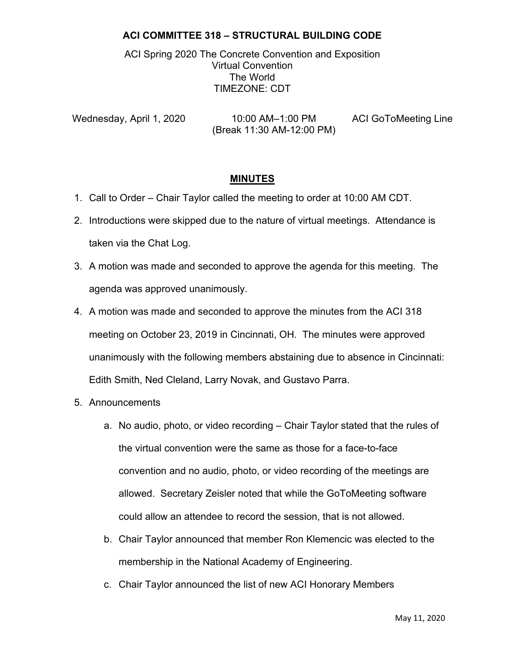ACI Spring 2020 The Concrete Convention and Exposition Virtual Convention The World TIMEZONE: CDT

Wednesday, April 1, 2020 10:00 AM–1:00 PM ACI GoToMeeting Line (Break 11:30 AM-12:00 PM)

#### **MINUTES**

- 1. Call to Order Chair Taylor called the meeting to order at 10:00 AM CDT.
- 2. Introductions were skipped due to the nature of virtual meetings. Attendance is taken via the Chat Log.
- 3. A motion was made and seconded to approve the agenda for this meeting. The agenda was approved unanimously.
- 4. A motion was made and seconded to approve the minutes from the ACI 318 meeting on October 23, 2019 in Cincinnati, OH. The minutes were approved unanimously with the following members abstaining due to absence in Cincinnati: Edith Smith, Ned Cleland, Larry Novak, and Gustavo Parra.
- 5. Announcements
	- a. No audio, photo, or video recording Chair Taylor stated that the rules of the virtual convention were the same as those for a face-to-face convention and no audio, photo, or video recording of the meetings are allowed. Secretary Zeisler noted that while the GoToMeeting software could allow an attendee to record the session, that is not allowed.
	- b. Chair Taylor announced that member Ron Klemencic was elected to the membership in the National Academy of Engineering.
	- c. Chair Taylor announced the list of new ACI Honorary Members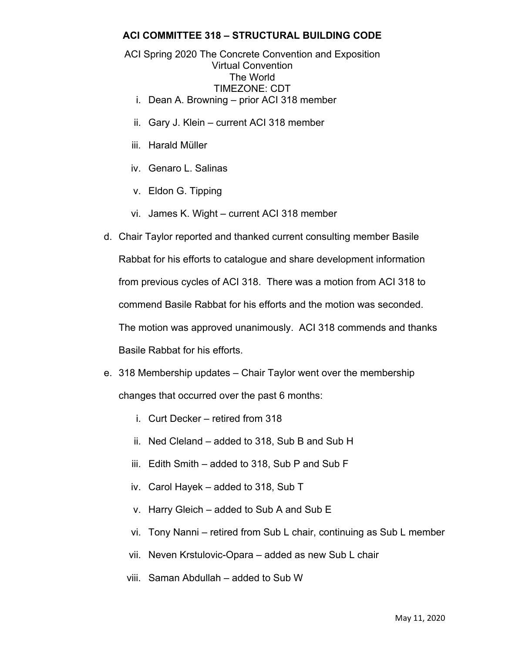#### ACI Spring 2020 The Concrete Convention and Exposition Virtual Convention The World TIMEZONE: CDT

- i. Dean A. Browning prior ACI 318 member
- ii. Gary J. Klein current ACI 318 member
- iii. Harald Müller
- iv. Genaro L. Salinas
- v. Eldon G. Tipping
- vi. James K. Wight current ACI 318 member
- d. Chair Taylor reported and thanked current consulting member Basile Rabbat for his efforts to catalogue and share development information from previous cycles of ACI 318. There was a motion from ACI 318 to commend Basile Rabbat for his efforts and the motion was seconded. The motion was approved unanimously. ACI 318 commends and thanks Basile Rabbat for his efforts.
- e. 318 Membership updates Chair Taylor went over the membership changes that occurred over the past 6 months:
	- i. Curt Decker retired from 318
	- ii. Ned Cleland added to 318, Sub B and Sub H
	- iii. Edith Smith added to 318, Sub P and Sub F
	- iv. Carol Hayek added to 318, Sub T
	- v. Harry Gleich added to Sub A and Sub E
	- vi. Tony Nanni retired from Sub L chair, continuing as Sub L member
	- vii. Neven Krstulovic-Opara added as new Sub L chair
	- viii. Saman Abdullah added to Sub W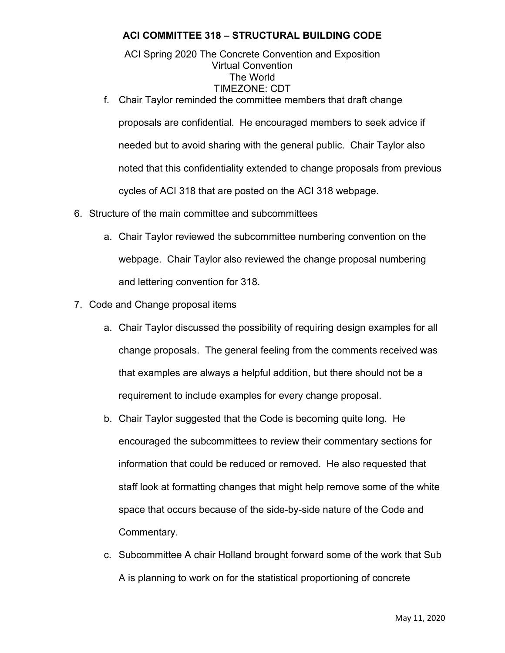ACI Spring 2020 The Concrete Convention and Exposition Virtual Convention The World TIMEZONE: CDT

f. Chair Taylor reminded the committee members that draft change proposals are confidential. He encouraged members to seek advice if needed but to avoid sharing with the general public. Chair Taylor also noted that this confidentiality extended to change proposals from previous cycles of ACI 318 that are posted on the ACI 318 webpage.

- 6. Structure of the main committee and subcommittees
	- a. Chair Taylor reviewed the subcommittee numbering convention on the webpage. Chair Taylor also reviewed the change proposal numbering and lettering convention for 318.
- 7. Code and Change proposal items
	- a. Chair Taylor discussed the possibility of requiring design examples for all change proposals. The general feeling from the comments received was that examples are always a helpful addition, but there should not be a requirement to include examples for every change proposal.
	- b. Chair Taylor suggested that the Code is becoming quite long. He encouraged the subcommittees to review their commentary sections for information that could be reduced or removed. He also requested that staff look at formatting changes that might help remove some of the white space that occurs because of the side-by-side nature of the Code and Commentary.
	- c. Subcommittee A chair Holland brought forward some of the work that Sub A is planning to work on for the statistical proportioning of concrete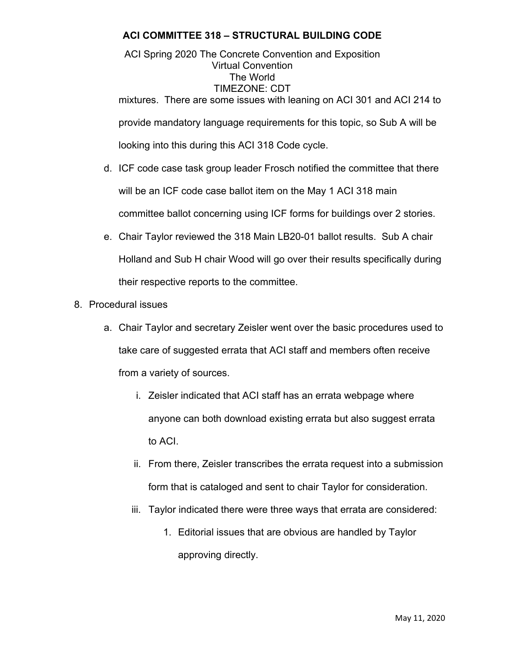ACI Spring 2020 The Concrete Convention and Exposition Virtual Convention The World TIMEZONE: CDT mixtures. There are some issues with leaning on ACI 301 and ACI 214 to provide mandatory language requirements for this topic, so Sub A will be looking into this during this ACI 318 Code cycle.

- d. ICF code case task group leader Frosch notified the committee that there will be an ICF code case ballot item on the May 1 ACI 318 main committee ballot concerning using ICF forms for buildings over 2 stories.
- e. Chair Taylor reviewed the 318 Main LB20-01 ballot results. Sub A chair Holland and Sub H chair Wood will go over their results specifically during their respective reports to the committee.
- 8. Procedural issues
	- a. Chair Taylor and secretary Zeisler went over the basic procedures used to take care of suggested errata that ACI staff and members often receive from a variety of sources.
		- i. Zeisler indicated that ACI staff has an errata webpage where anyone can both download existing errata but also suggest errata to ACI.
		- ii. From there, Zeisler transcribes the errata request into a submission form that is cataloged and sent to chair Taylor for consideration.
		- iii. Taylor indicated there were three ways that errata are considered:
			- 1. Editorial issues that are obvious are handled by Taylor approving directly.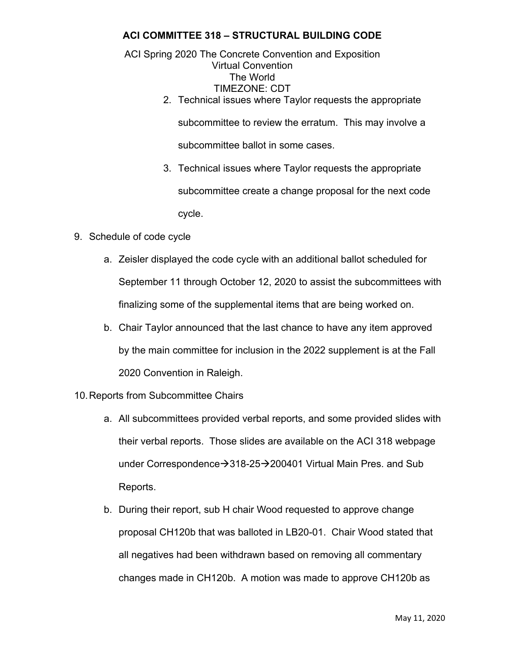ACI Spring 2020 The Concrete Convention and Exposition Virtual Convention The World TIMEZONE: CDT

2. Technical issues where Taylor requests the appropriate subcommittee to review the erratum. This may involve a

subcommittee ballot in some cases.

- 3. Technical issues where Taylor requests the appropriate subcommittee create a change proposal for the next code cycle.
- 9. Schedule of code cycle
	- a. Zeisler displayed the code cycle with an additional ballot scheduled for September 11 through October 12, 2020 to assist the subcommittees with finalizing some of the supplemental items that are being worked on.
	- b. Chair Taylor announced that the last chance to have any item approved by the main committee for inclusion in the 2022 supplement is at the Fall 2020 Convention in Raleigh.
- 10. Reports from Subcommittee Chairs
	- a. All subcommittees provided verbal reports, and some provided slides with their verbal reports. Those slides are available on the ACI 318 webpage under Correspondence $\rightarrow$ 318-25 $\rightarrow$ 200401 Virtual Main Pres. and Sub Reports.
	- b. During their report, sub H chair Wood requested to approve change proposal CH120b that was balloted in LB20-01. Chair Wood stated that all negatives had been withdrawn based on removing all commentary changes made in CH120b. A motion was made to approve CH120b as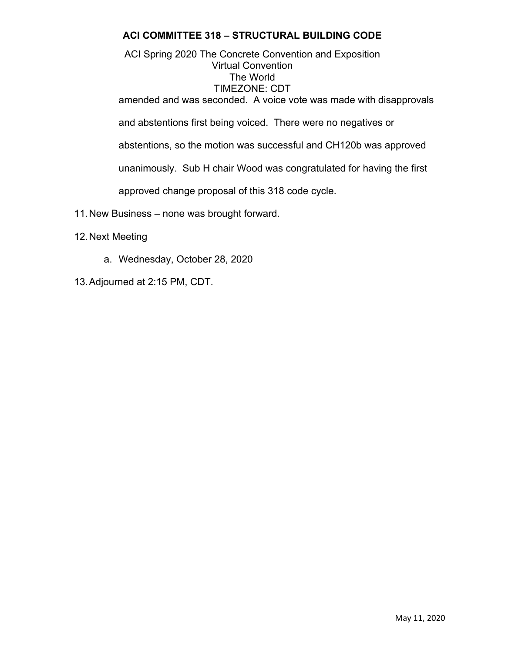ACI Spring 2020 The Concrete Convention and Exposition Virtual Convention The World TIMEZONE: CDT amended and was seconded. A voice vote was made with disapprovals and abstentions first being voiced. There were no negatives or

abstentions, so the motion was successful and CH120b was approved

unanimously. Sub H chair Wood was congratulated for having the first

approved change proposal of this 318 code cycle.

- 11. New Business none was brought forward.
- 12. Next Meeting
	- a. Wednesday, October 28, 2020
- 13. Adjourned at 2:15 PM, CDT.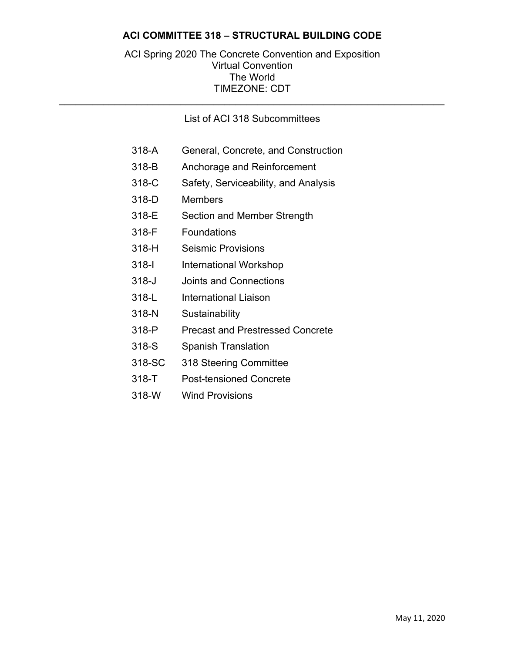#### ACI Spring 2020 The Concrete Convention and Exposition Virtual Convention The World TIMEZONE: CDT

#### List of ACI 318 Subcommittees

\_\_\_\_\_\_\_\_\_\_\_\_\_\_\_\_\_\_\_\_\_\_\_\_\_\_\_\_\_\_\_\_\_\_\_\_\_\_\_\_\_\_\_\_\_\_\_\_\_\_\_\_\_\_\_\_\_\_\_\_\_\_\_\_\_\_\_\_\_\_

- 318-A General, Concrete, and Construction
- 318-B Anchorage and Reinforcement
- 318-C Safety, Serviceability, and Analysis
- 318-D Members
- 318-E Section and Member Strength
- 318-F Foundations
- 318-H Seismic Provisions
- 318-I International Workshop
- 318-J Joints and Connections
- 318-L International Liaison
- 318-N Sustainability
- 318-P Precast and Prestressed Concrete
- 318-S Spanish Translation
- 318-SC 318 Steering Committee
- 318-T Post-tensioned Concrete
- 318-W Wind Provisions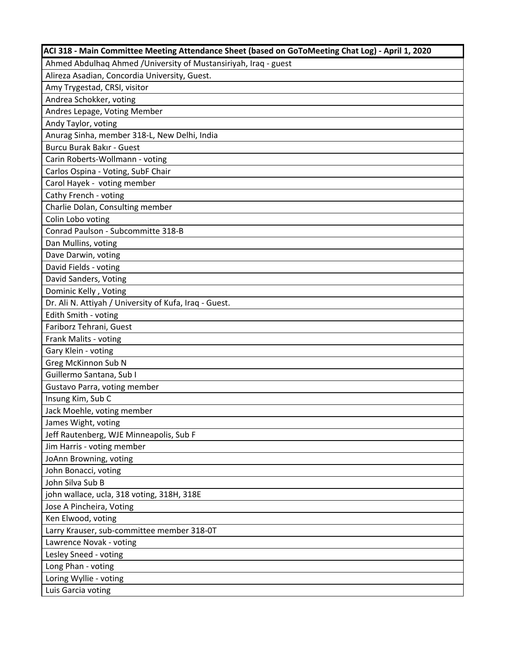| ACI 318 - Main Committee Meeting Attendance Sheet (based on GoToMeeting Chat Log) - April 1, 2020 |
|---------------------------------------------------------------------------------------------------|
| Ahmed Abdulhaq Ahmed / University of Mustansiriyah, Iraq - guest                                  |
| Alireza Asadian, Concordia University, Guest.                                                     |
| Amy Trygestad, CRSI, visitor                                                                      |
| Andrea Schokker, voting                                                                           |
| Andres Lepage, Voting Member                                                                      |
| Andy Taylor, voting                                                                               |
| Anurag Sinha, member 318-L, New Delhi, India                                                      |
| <b>Burcu Burak Bakır - Guest</b>                                                                  |
| Carin Roberts-Wollmann - voting                                                                   |
| Carlos Ospina - Voting, SubF Chair                                                                |
| Carol Hayek - voting member                                                                       |
| Cathy French - voting                                                                             |
| Charlie Dolan, Consulting member                                                                  |
| Colin Lobo voting                                                                                 |
| Conrad Paulson - Subcommitte 318-B                                                                |
| Dan Mullins, voting                                                                               |
| Dave Darwin, voting                                                                               |
| David Fields - voting                                                                             |
| David Sanders, Voting                                                                             |
| Dominic Kelly, Voting                                                                             |
| Dr. Ali N. Attiyah / University of Kufa, Iraq - Guest.                                            |
| Edith Smith - voting                                                                              |
| Fariborz Tehrani, Guest                                                                           |
| Frank Malits - voting                                                                             |
| Gary Klein - voting                                                                               |
| Greg McKinnon Sub N                                                                               |
| Guillermo Santana, Sub I                                                                          |
| Gustavo Parra, voting member                                                                      |
| Insung Kim, Sub C                                                                                 |
| Jack Moehle, voting member                                                                        |
| James Wight, voting                                                                               |
| Jeff Rautenberg, WJE Minneapolis, Sub F                                                           |
| Jim Harris - voting member                                                                        |
| JoAnn Browning, voting                                                                            |
| John Bonacci, voting                                                                              |
| John Silva Sub B                                                                                  |
| john wallace, ucla, 318 voting, 318H, 318E                                                        |
| Jose A Pincheira, Voting                                                                          |
| Ken Elwood, voting                                                                                |
| Larry Krauser, sub-committee member 318-0T                                                        |
| Lawrence Novak - voting                                                                           |
| Lesley Sneed - voting                                                                             |
| Long Phan - voting                                                                                |
| Loring Wyllie - voting                                                                            |
| Luis Garcia voting                                                                                |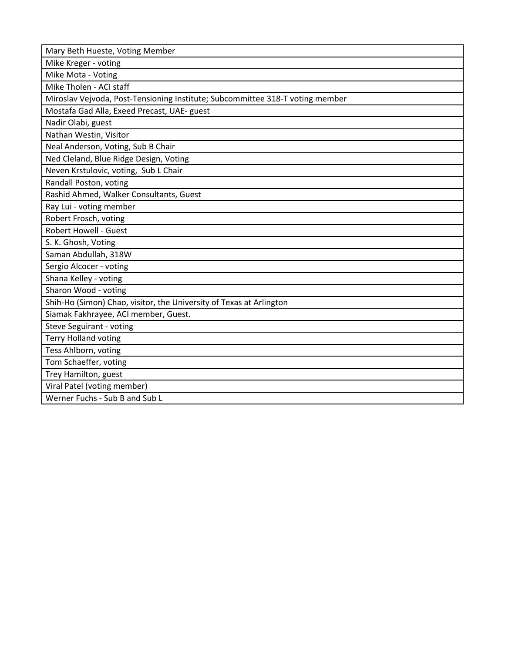Mike Kreger ‐ voting

Mike Mota ‐ Voting

Mike Tholen ‐ ACI staff

Miroslav Vejvoda, Post‐Tensioning Institute; Subcommittee 318‐T voting member

Mostafa Gad Alla, Exeed Precast, UAE‐ guest

Nadir Olabi, guest

Nathan Westin, Visitor

Neal Anderson, Voting, Sub B Chair

Ned Cleland, Blue Ridge Design, Voting

Neven Krstulovic, voting, Sub L Chair

Randall Poston, voting

Rashid Ahmed, Walker Consultants, Guest

Ray Lui ‐ voting member

Robert Frosch, voting

Robert Howell ‐ Guest

 S. K. Ghosh, Voting Saman Abdullah, 318W

Sergio Alcocer ‐ voting

Shana Kelley ‐ voting

Sharon Wood ‐ voting

Shih‐Ho (Simon) Chao, visitor, the University of Texas at Arlington

Siamak Fakhrayee, ACI member, Guest.

Steve Seguirant ‐ voting

Terry Holland voting

Tess Ahlborn, voting

Tom Schaeffer, voting

Trey Hamilton, guest

Viral Patel (voting member)

Werner Fuchs ‐ Sub B and Sub L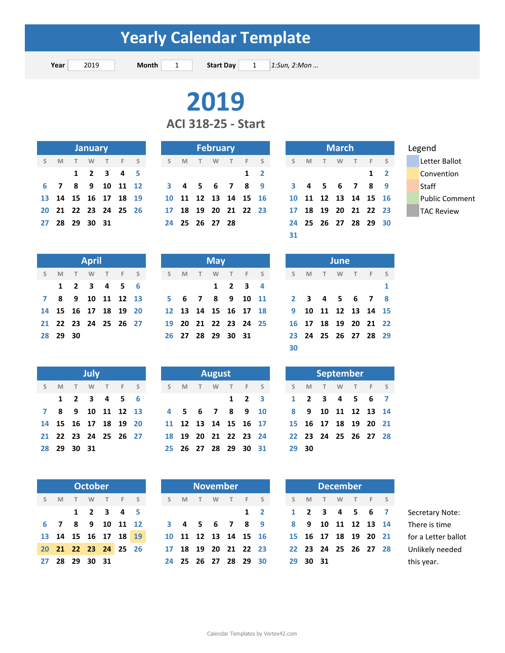**Year** 2019 **Month** 1 **Start Day** 1 *1:Sun, 2:Mon ...* **Start Day** 

# 

**ACI 318‐25 ‐ Start**

| <b>January</b> |  |  |                |                                     |  |  |  |  |  |  |  |
|----------------|--|--|----------------|-------------------------------------|--|--|--|--|--|--|--|
|                |  |  |                | S M T W T F S                       |  |  |  |  |  |  |  |
|                |  |  |                | $1 \quad 2 \quad 3 \quad 4 \quad 5$ |  |  |  |  |  |  |  |
|                |  |  |                | 6 7 8 9 10 11 12                    |  |  |  |  |  |  |  |
|                |  |  |                | 13 14 15 16 17 18 19                |  |  |  |  |  |  |  |
|                |  |  |                | 20 21 22 23 24 25 26                |  |  |  |  |  |  |  |
|                |  |  | 27 28 29 30 31 |                                     |  |  |  |  |  |  |  |

| <b>January</b> |               |  |       |                      | <b>February</b> |         |            |
|----------------|---------------|--|-------|----------------------|-----------------|---------|------------|
|                | TW TFS        |  | S M T |                      |                 | W T F S |            |
|                | $1$ 2 3 4 5   |  |       |                      |                 |         | $1\quad 2$ |
|                | 8 9 10 11 12  |  |       | 3 4 5 6 7 8 9        |                 |         |            |
|                | 5 16 17 18 19 |  |       | 10 11 12 13 14 15 16 |                 |         |            |
|                | 2 23 24 25 26 |  |       | 17 18 19 20 21 22 23 |                 |         |            |
| 9 30 31        |               |  |       | 24 25 26 27 28       |                 |         |            |
|                |               |  |       |                      |                 |         |            |

| <b>January</b> |   |                      |      |  |     |  | <b>February</b> |          |   |                      |   |  |            |  | <b>March</b> |          |   |   |   |                      |            | Legend |  |                    |
|----------------|---|----------------------|------|--|-----|--|-----------------|----------|---|----------------------|---|--|------------|--|--------------|----------|---|---|---|----------------------|------------|--------|--|--------------------|
| S M            | T | W                    | $-1$ |  | F S |  | S               | <b>M</b> | T | W                    | T |  | F S        |  | S.           | <b>M</b> | T | W | T | F S                  |            |        |  | Letter Ballot      |
|                |   | $1 \t2 \t3 \t4 \t5$  |      |  |     |  |                 |          |   |                      |   |  | $1\quad 2$ |  |              |          |   |   |   |                      | $1\quad 2$ |        |  | Convention         |
|                |   | 6 7 8 9 10 11 12     |      |  |     |  |                 |          |   | 3 4 5 6 7 8 9        |   |  |            |  |              |          |   |   |   | 3 4 5 6 7 8 9        |            |        |  | Staff              |
|                |   | 13 14 15 16 17 18 19 |      |  |     |  |                 |          |   | 10 11 12 13 14 15 16 |   |  |            |  |              |          |   |   |   | 10 11 12 13 14 15 16 |            |        |  | <b>Public Comn</b> |
|                |   | 20 21 22 23 24 25 26 |      |  |     |  |                 |          |   | 17 18 19 20 21 22 23 |   |  |            |  |              |          |   |   |   | 17 18 19 20 21 22 23 |            |        |  | TAC Review         |
|                |   |                      |      |  |     |  |                 |          |   | 24 25 26 27 28       |   |  |            |  |              |          |   |   |   | 24 25 26 27 28 29 30 |            |        |  |                    |
|                |   |                      |      |  |     |  |                 |          |   |                      |   |  |            |  | 31           |          |   |   |   |                      |            |        |  |                    |

| <b>April</b> |       |      |                         |  |  |  |  |  |  |  |  |  |  |
|--------------|-------|------|-------------------------|--|--|--|--|--|--|--|--|--|--|
|              |       |      | S M T W T F S           |  |  |  |  |  |  |  |  |  |  |
|              |       |      | $1 \t2 \t3 \t4 \t5 \t6$ |  |  |  |  |  |  |  |  |  |  |
| $\mathbf{z}$ |       |      | 8 9 10 11 12 13         |  |  |  |  |  |  |  |  |  |  |
|              |       |      | 14 15 16 17 18 19 20    |  |  |  |  |  |  |  |  |  |  |
|              |       |      | 21 22 23 24 25 26 27    |  |  |  |  |  |  |  |  |  |  |
|              | 28 29 | - 30 |                         |  |  |  |  |  |  |  |  |  |  |

|              | July |             |  |                         |  |  |  |  |  |  |  |  |  |
|--------------|------|-------------|--|-------------------------|--|--|--|--|--|--|--|--|--|
| S            | M    |             |  | T W T F S               |  |  |  |  |  |  |  |  |  |
|              |      |             |  | $1 \t2 \t3 \t4 \t5 \t6$ |  |  |  |  |  |  |  |  |  |
| $\mathbf{z}$ |      |             |  | 8 9 10 11 12 13         |  |  |  |  |  |  |  |  |  |
|              |      |             |  | 14 15 16 17 18 19 20    |  |  |  |  |  |  |  |  |  |
| 21           |      |             |  | 22 23 24 25 26 27       |  |  |  |  |  |  |  |  |  |
|              |      | 28 29 30 31 |  |                         |  |  |  |  |  |  |  |  |  |

| <b>October</b> |     |  |                |  |                     |  |  |  |  |  |  |  |
|----------------|-----|--|----------------|--|---------------------|--|--|--|--|--|--|--|
|                |     |  |                |  | S M T W T F S       |  |  |  |  |  |  |  |
|                |     |  |                |  | $1$ 2 3 4 5         |  |  |  |  |  |  |  |
|                | 6 7 |  |                |  | 8 9 10 11 1         |  |  |  |  |  |  |  |
|                |     |  |                |  | 13 14 15 16 17 18 1 |  |  |  |  |  |  |  |
|                |     |  |                |  | 20 21 22 23 24 25 2 |  |  |  |  |  |  |  |
|                |     |  | 27 28 29 30 31 |  |                     |  |  |  |  |  |  |  |

|          | <b>April</b>  |  |                                                          | <b>May</b> |  |  |  |  |         |  |  |                                                               |  | <b>June</b>          |  |  |
|----------|---------------|--|----------------------------------------------------------|------------|--|--|--|--|---------|--|--|---------------------------------------------------------------|--|----------------------|--|--|
|          | S M T W T F S |  |                                                          |            |  |  |  |  |         |  |  | SMTWTFS SMTWTFS                                               |  |                      |  |  |
|          | 1 2 3 4 5 6   |  |                                                          |            |  |  |  |  | 1 2 3 4 |  |  |                                                               |  |                      |  |  |
|          |               |  |                                                          |            |  |  |  |  |         |  |  | 7 8 9 10 11 12 13 5 6 7 8 9 10 11 2 3 4 5 6 7 8               |  |                      |  |  |
|          |               |  |                                                          |            |  |  |  |  |         |  |  | 14 15 16 17 18 19 20 12 13 14 15 16 17 18 9 10 11 12 13 14 15 |  |                      |  |  |
|          |               |  | 21  22  23  24  25  26  27    19  20  21  22  23  24  25 |            |  |  |  |  |         |  |  |                                                               |  | 16 17 18 19 20 21 22 |  |  |
| 28 29 30 |               |  |                                                          |            |  |  |  |  |         |  |  | 26 27 28 29 30 31 23 24 25 26 27 28 29                        |  |                      |  |  |
|          |               |  |                                                          |            |  |  |  |  |         |  |  |                                                               |  |                      |  |  |

|    |   |             | July |                      |  |
|----|---|-------------|------|----------------------|--|
| S. | M | T W         |      | T F S                |  |
|    |   |             |      | 1 2 3 4 5 6          |  |
|    |   |             |      | 7 8 9 10 11 12 13    |  |
|    |   |             |      | 14 15 16 17 18 19 20 |  |
|    |   |             |      | 21 22 23 24 25 26 27 |  |
|    |   | 28 29 30 31 |      |                      |  |
|    |   |             |      |                      |  |

| <b>October</b> |                |  |     |      | <b>November</b>      | <b>December</b> |     |                |      |    |       |
|----------------|----------------|--|-----|------|----------------------|-----------------|-----|----------------|------|----|-------|
| T W            | T F S          |  | S M | $-1$ | W T F S              |                 | S M |                | $-1$ | W. | $-$ T |
|                | 1 2 3 4 5      |  |     |      |                      | $1\quad 2$      |     | 1 2 3 4 5      |      |    |       |
|                | 8 9 10 11 12   |  |     |      | 3 4 5 6 7 8 9        |                 |     | 8 9 10 11 12   |      |    |       |
|                | 15 16 17 18 19 |  |     |      | 10 11 12 13 14 15 16 |                 |     | 15 16 17 18 19 |      |    |       |
|                | 2 23 24 25 26  |  |     |      | 17 18 19 20 21 22 23 |                 |     | 22 23 24 25 26 |      |    |       |
| <u>9</u> 30 31 |                |  |     |      | 24 25 26 27 28 29 30 |                 |     | 29 30 31       |      |    |       |
|                |                |  |     |      |                      |                 |     |                |      |    |       |

| June         |   |  |  |         |                   |   |  |  |  |  |  |  |  |
|--------------|---|--|--|---------|-------------------|---|--|--|--|--|--|--|--|
| S            | M |  |  | T W T F |                   | S |  |  |  |  |  |  |  |
|              |   |  |  |         |                   | 1 |  |  |  |  |  |  |  |
| $\mathbf{2}$ | 3 |  |  | 4 5 6 7 |                   | 8 |  |  |  |  |  |  |  |
| 9            |   |  |  |         | 10 11 12 13 14 15 |   |  |  |  |  |  |  |  |
| 16           |   |  |  |         | 17 18 19 20 21 22 |   |  |  |  |  |  |  |  |
| 23           |   |  |  |         | 24 25 26 27 28 29 |   |  |  |  |  |  |  |  |
| 30           |   |  |  |         |                   |   |  |  |  |  |  |  |  |

|   |          |             | <b>July</b>          |       |  |                                                          |        | August   |                      |                      |       |   |          | September                         |  |
|---|----------|-------------|----------------------|-------|--|----------------------------------------------------------|--------|----------|----------------------|----------------------|-------|---|----------|-----------------------------------|--|
| S | <b>M</b> | T W         |                      | T F S |  | $S$ M                                                    | $\top$ | <b>W</b> |                      | T F S                | S M   | T | <b>W</b> | T F S                             |  |
|   |          |             | 1 2 3 4 5 6          |       |  |                                                          |        |          | $1 \quad 2 \quad 3$  |                      |       |   |          | 1 2 3 4 5 6 7                     |  |
|   |          |             | 7 8 9 10 11 12 13    |       |  |                                                          |        |          |                      |                      |       |   |          | 4 5 6 7 8 9 10 8 9 10 11 12 13 14 |  |
|   |          |             | 14 15 16 17 18 19 20 |       |  |                                                          |        |          |                      | 11 12 13 14 15 16 17 |       |   |          | 15 16 17 18 19 20 21              |  |
|   |          |             |                      |       |  | 21  22  23  24  25  26  27    18  19  20  21  22  23  24 |        |          |                      |                      |       |   |          | 22 23 24 25 26 27 28              |  |
|   |          | 28 29 30 31 |                      |       |  |                                                          |        |          | 25 26 27 28 29 30 31 |                      | 29 30 |   |          |                                   |  |

|     |      | <b>October</b> |                      |         |  |     | <b>November</b>      |   |  |            |  |          | <b>December</b>      |   |       |  |                     |
|-----|------|----------------|----------------------|---------|--|-----|----------------------|---|--|------------|--|----------|----------------------|---|-------|--|---------------------|
| S M | $-1$ |                |                      | W T F S |  | S M | T                    | W |  | T F S      |  | S M      | $-1$ Times           | W | T F S |  |                     |
|     |      |                | $1 \t2 \t3 \t4 \t5$  |         |  |     |                      |   |  | $1\quad 2$ |  |          | 1 2 3 4 5 6 7        |   |       |  | Secretary Note:     |
|     |      |                | 6 7 8 9 10 11 12     |         |  |     | 3 4 5 6 7 8 9        |   |  |            |  |          | 8 9 10 11 12 13 14   |   |       |  | There is time       |
|     |      |                | 13 14 15 16 17 18 19 |         |  |     | 10 11 12 13 14 15 16 |   |  |            |  |          | 15 16 17 18 19 20 21 |   |       |  | for a Letter ballot |
|     |      |                | 20 21 22 23 24 25 26 |         |  |     | 17 18 19 20 21 22 23 |   |  |            |  |          | 22 23 24 25 26 27 28 |   |       |  | Unlikely needed     |
|     |      | 27 28 29 30 31 |                      |         |  |     | 24 25 26 27 28 29 30 |   |  |            |  | 29 30 31 |                      |   |       |  | this year.          |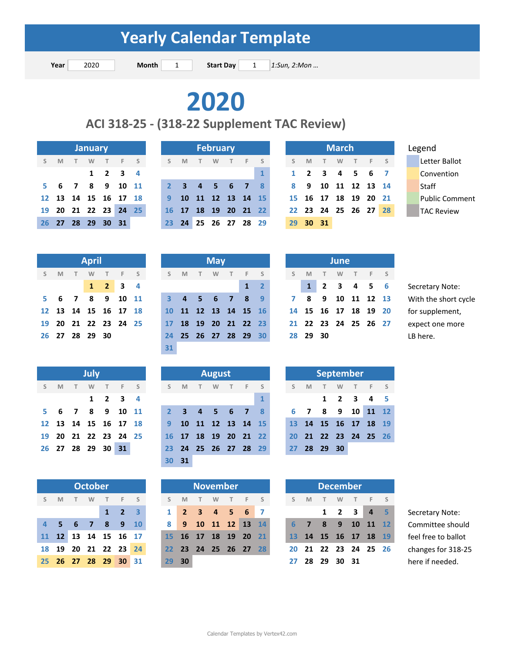**Year** 2020 **Month** 1 **Start Day** 1 **1:Sun, 2:Mon ... Start Day** 

**2020**

**ACI 318‐25 ‐ (318‐22 Supplement TAC Review)**

|    |                |     | <b>January</b> |                     |       |                          |
|----|----------------|-----|----------------|---------------------|-------|--------------------------|
|    | $S$ M          | T W |                |                     | T F S |                          |
|    |                |     |                | $1 \quad 2 \quad 3$ |       | $\overline{\phantom{a}}$ |
|    |                |     |                | 5 6 7 8 9 10 11     |       |                          |
| 12 |                |     |                | 13 14 15 16 17 18   |       |                          |
| 19 |                |     |                | 20 21 22 23 24 25   |       |                          |
|    | 26 27 28 29 30 |     |                |                     | - 31  |                          |

|   |   |                      | <b>January</b> |   |                             |     |    |                      |          | <b>February</b> |    |              |                    |                     |   | <b>March</b> |  |                      |       | Legend             |
|---|---|----------------------|----------------|---|-----------------------------|-----|----|----------------------|----------|-----------------|----|--------------|--------------------|---------------------|---|--------------|--|----------------------|-------|--------------------|
| S | M | $-1$                 | W              | T |                             | F S | S. | M                    | <b>T</b> | W               | F. |              |                    | M                   | T | W            |  | F S                  |       | Letter Ballot      |
|   |   |                      |                |   | $1 \quad 2 \quad 3 \quad 4$ |     |    |                      |          |                 |    | $\mathbf{1}$ |                    | $1 \quad 2 \quad 3$ |   |              |  | 4 5 6 7              |       | Convention         |
|   |   | 5 6 7 8 9 10 11      |                |   |                             |     |    | 2 3 4 5 6 7 8        |          |                 |    |              | 8 9 10 11 12 13 14 |                     |   |              |  |                      | Staff |                    |
|   |   | 12 13 14 15 16 17 18 |                |   |                             |     |    | 9 10 11 12 13 14 15  |          |                 |    |              |                    |                     |   |              |  | 15 16 17 18 19 20 21 |       | <b>Public Comn</b> |
|   |   | 19 20 21 22 23 24 25 |                |   |                             |     |    | 16 17 18 19 20 21 22 |          |                 |    |              |                    |                     |   |              |  | 22 23 24 25 26 27 28 |       | <b>TAC Review</b>  |
|   |   | 26 27 28             | 29 30 31       |   |                             |     |    | 23 24                |          | 25 26 27 28 29  |    |              |                    | 29 30 31            |   |              |  |                      |       |                    |

|        |                      | <b>March</b> |                   |  |
|--------|----------------------|--------------|-------------------|--|
| S      | <b>M</b>             |              | TWTFS             |  |
| 1      | 2 3 4 5 6 7          |              |                   |  |
| 8      | 9                    |              | 10 11 12 13 14    |  |
| $15 -$ |                      |              | 16 17 18 19 20 21 |  |
|        | 22 23 24 25 26 27 28 |              |                   |  |
| 29     | - 30 - 31            |              |                   |  |

|    |                      |         | <b>April</b> |                             |  |
|----|----------------------|---------|--------------|-----------------------------|--|
|    | S M                  |         |              | T W T F S                   |  |
|    |                      |         |              | $1 \quad 2 \quad 3 \quad 4$ |  |
| 5. |                      | 6 7 8 9 |              | 10 11                       |  |
|    | 12 13 14 15 16 17 18 |         |              |                             |  |
|    | 19 20 21 22 23 24 25 |         |              |                             |  |
|    | 26 27 28 29 30       |         |              |                             |  |
|    |                      |         |              |                             |  |

|    |                |                   | July |                     |           |   |
|----|----------------|-------------------|------|---------------------|-----------|---|
| S  | M              | T                 |      | W T F S             |           |   |
|    |                |                   |      | $1 \quad 2 \quad 3$ |           | 4 |
| 5. | $6\phantom{a}$ |                   | 789  |                     | $10$ $11$ |   |
| 12 |                | 13 14 15 16 17 18 |      |                     |           |   |
| 19 |                | 20 21 22 23 24 25 |      |                     |           |   |
| 26 |                | 27 28 29 30 31    |      |                     |           |   |

|     |    |     | <b>October</b> |                   |                |                         |
|-----|----|-----|----------------|-------------------|----------------|-------------------------|
| S   | M  | T   | W              |                   | $T = F$        | $\sim$ S                |
|     |    |     |                | $\mathbf{1}$      | $\overline{2}$ | $\overline{\mathbf{3}}$ |
| 4   | S  | 6 7 |                | 8                 | - 9            | $\overline{10}$         |
| 11  |    |     |                | 12 13 14 15 16 17 |                |                         |
| 18  | 19 |     |                | 20 21 22 23 24    |                |                         |
| 25. |    |     |                | 26 27 28 29 30 31 |                |                         |

|                | <b>April</b> |                             |  |    |   |            | <b>May</b> |                      |                      |    |          |   | <b>June</b> |                      |  |
|----------------|--------------|-----------------------------|--|----|---|------------|------------|----------------------|----------------------|----|----------|---|-------------|----------------------|--|
| S M T W        |              | T F S                       |  |    | M | $\sqrt{L}$ | <b>W</b>   | T F S                |                      | S. | <b>M</b> | T |             | W T F S              |  |
|                |              | $1 \quad 2 \quad 3 \quad 4$ |  |    |   |            |            |                      | $1 \quad 2$          |    |          |   |             | 1 2 3 4 5 6          |  |
|                |              | 5 6 7 8 9 10 11             |  |    |   |            |            |                      | 3 4 5 6 7 8 9        |    |          |   |             | 7 8 9 10 11 12 13    |  |
|                |              | 12 13 14 15 16 17 18        |  |    |   |            |            |                      | 10 11 12 13 14 15 16 |    |          |   |             | 14 15 16 17 18 19 20 |  |
|                |              | 19 20 21 22 23 24 25        |  |    |   |            |            |                      | 17 18 19 20 21 22 23 |    |          |   |             | 21 22 23 24 25 26 27 |  |
| 26 27 28 29 30 |              |                             |  |    |   |            |            | 24 25 26 27 28 29 30 |                      |    | 28 29 30 |   |             |                      |  |
|                |              |                             |  | 31 |   |            |            |                      |                      |    |          |   |             |                      |  |

|    |                |     | <b>July</b>             |   |                             |          |     |             |      | <b>August</b>  |                      |                |              |    |   |                         |             |   | <b>September</b>     |
|----|----------------|-----|-------------------------|---|-----------------------------|----------|-----|-------------|------|----------------|----------------------|----------------|--------------|----|---|-------------------------|-------------|---|----------------------|
| S. | M              |     | W                       | T | $-F$                        | $\sim$ S | S.  | M           | $-1$ | W              | T                    | - F            | - S          |    | M |                         | W           | T | $-F$                 |
|    |                |     |                         |   | $1 \quad 2 \quad 3 \quad 4$ |          |     |             |      |                |                      |                | $\mathbf{1}$ |    |   | $\mathbf{1}$            | $2 \quad 3$ |   | $\overline{a}$       |
| 5. |                | 6 7 | $\overline{\mathbf{8}}$ |   | 9 10 11                     |          |     | $2 \quad 3$ |      | 4 <sub>5</sub> | $\blacksquare$ 6     | $\overline{7}$ | - 8          | 6. | 7 | $\overline{\mathbf{8}}$ | 9           |   | 10 11 12             |
|    |                |     |                         |   | 12 13 14 15 16 17 18        |          | 9   |             |      |                | 10 11 12 13 14 15    |                |              |    |   |                         |             |   | 13 14 15 16 17 18    |
|    |                |     |                         |   | 19 20 21 22 23 24 25        |          |     |             |      |                | 16 17 18 19 20 21 22 |                |              |    |   |                         |             |   | 20 21 22 23 24 25 26 |
|    | 26 27 28 29 30 |     |                         |   | 31                          |          | 23. |             |      |                | 24 25 26 27 28 29    |                |              |    |   | 27 28 29 30             |             |   |                      |
|    |                |     |                         |   |                             |          |     | 30 31       |      |                |                      |                |              |    |   |                         |             |   |                      |

| W |    | F.                               |     |                                                                               | S            | M  | W |   |                 |                                                                                                   | S. | M |              | W            |                                                                                |
|---|----|----------------------------------|-----|-------------------------------------------------------------------------------|--------------|----|---|---|-----------------|---------------------------------------------------------------------------------------------------|----|---|--------------|--------------|--------------------------------------------------------------------------------|
|   |    |                                  |     |                                                                               | $\mathbf{1}$ |    |   |   |                 |                                                                                                   |    |   | $\mathbf{1}$ | $\mathbf{2}$ | - 3                                                                            |
|   | -8 |                                  |     |                                                                               | 8            |    |   |   |                 |                                                                                                   |    |   |              |              |                                                                                |
|   |    |                                  |     |                                                                               |              |    |   |   |                 |                                                                                                   |    |   |              |              |                                                                                |
|   |    |                                  |     |                                                                               |              |    |   |   |                 |                                                                                                   |    |   |              |              |                                                                                |
|   |    |                                  |     |                                                                               | 29           | 30 |   |   |                 |                                                                                                   |    |   |              |              |                                                                                |
|   |    | <b>October</b><br>67<br>27 28 29 | - 9 | - S<br>$1 \quad 2 \quad 3$<br>10<br>13 14 15 16 17<br>20 21 22 23 24<br>30 31 |              |    |   | T | <b>November</b> | F <sub>S</sub><br>2 3 4 5 6 7<br>9 10 11 12 13 14<br>15 16 17 18 19 20 21<br>22 23 24 25 26 27 28 |    |   | 27           |              | <b>December</b><br>7 8 9 10<br>13 14 15 16 17<br>20 21 22 23 24<br>28 29 30 31 |

|       |    |      | June                 |  |  |
|-------|----|------|----------------------|--|--|
| S     | M  |      | TWTFS                |  |  |
|       |    |      | $1$ 2 3 4 5 6        |  |  |
|       | 78 |      | 9 10 11 12 13        |  |  |
|       |    |      | 14 15 16 17 18 19 20 |  |  |
|       |    |      | 21 22 23 24 25 26 27 |  |  |
| 28 29 |    | - 30 |                      |  |  |

 **4 1 2 12345 6** Secretary Note: **6 7 8 9 10 11 3 45678 9 7 8 9 10 11 12 13** With the short cycle **13 14 15 16 17 18 10 11 12 13 14 15 16 14 15 16 17 18 19 20** for supplement, **20 21 22 23 24 25 17 18 19 20 21 22 23 21 22 23 24 25 26 27** expect one more

|    |                      |                     | <b>September</b> |    |  |
|----|----------------------|---------------------|------------------|----|--|
|    | S M                  |                     | T W T F S        |    |  |
|    |                      | $1 \quad 2 \quad 3$ |                  | 45 |  |
| 6  | <b>7</b>             |                     | 8 9 10 11 12     |    |  |
|    | 13 14 15 16 17 18 19 |                     |                  |    |  |
| 20 | 21 22 23 24 25 26    |                     |                  |    |  |
|    | 27 28 29             | 30                  |                  |    |  |

|        |                             | <b>October</b> |      |                     |  |                 |      | <b>November</b>   |   |                |  |    |                      |              | <b>December</b> |            |                |  |
|--------|-----------------------------|----------------|------|---------------------|--|-----------------|------|-------------------|---|----------------|--|----|----------------------|--------------|-----------------|------------|----------------|--|
| $\leq$ | M                           | W              |      | F S                 |  | S.              | M    |                   | W | F S            |  | S  | M                    |              | W               |            | - F            |  |
|        |                             |                |      | $1 \quad 2 \quad 3$ |  | $\mathbf{1}$    |      | 2 3 4 5 6 7       |   |                |  |    |                      | $\mathbf{1}$ | 2 3             |            | $\overline{4}$ |  |
|        | 456                         | 7              | $-8$ | $9 \t10$            |  | 8               | 9    |                   |   | 10 11 12 13 14 |  |    | $\overline{7}$       | -8           | - 9             | $10$ 11 12 |                |  |
|        | 1 12 13 14 15 16 17         |                |      |                     |  | 15              |      | 16 17 18 19       |   | 20 21          |  |    | 13 14 15 16 17 18 19 |              |                 |            |                |  |
|        | <u>18</u> 19 20 21 22 23 24 |                |      |                     |  | 22 <sub>1</sub> |      | 23 24 25 26 27 28 |   |                |  |    | 20 21 22 23 24 25 26 |              |                 |            |                |  |
|        | 25  26  27  28  29  30  31  |                |      |                     |  | 29              | - 30 |                   |   |                |  | 27 |                      |              | 28 29 30 31     |            |                |  |

**1 2 3 1 23456 7 1234 5** Secretary Note: **56789 10 8 9 10 11 12 13 14 6 7 8 9 10 11 12** Committee should **12 13 14 15 16 17 15 16 17 18 19 20 21 13 14 15 16 17 18 19** feel free to ballot **19 20 21 22 23 24 22 23 24 25 26 27 28 20 21 22 23 24 25 26** changes for 318‐25 **26 27 28 29 30 31 29 30 27 28 29 30 31** here if needed.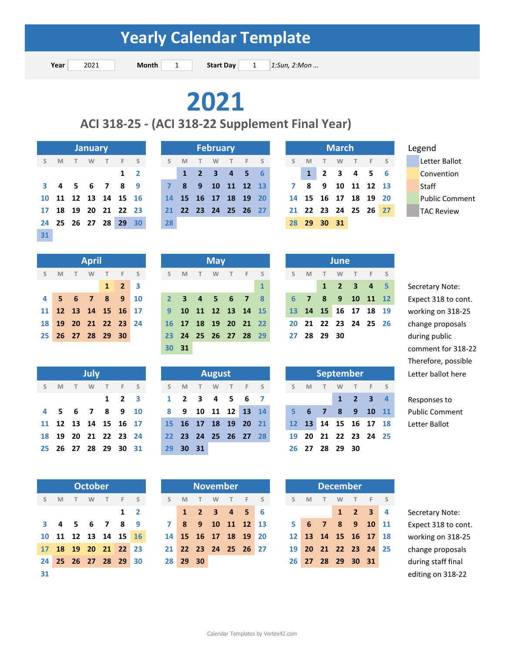**Start Day** 

**Year Month Start Day**  *1:Sun, 2:Mon …*

## **2021**

### **ACI 318‐25 ‐ (ACI 318‐22 Supplement Final Year)**

|    |   |      | <b>January</b> |                |                   |                |
|----|---|------|----------------|----------------|-------------------|----------------|
| S  | M | T    | <b>W</b>       | T F            |                   | $\sim$ S       |
|    |   |      |                |                | 1                 | $\overline{2}$ |
| 3  | 4 | $-5$ | 67             |                | 8                 | q              |
| 10 |   |      |                |                | 11 12 13 14 15    | 16             |
| 17 |   |      |                |                | 18 19 20 21 22 23 |                |
| 24 |   |      |                | 25 26 27 28 29 |                   | 30             |
| 31 |   |      |                |                |                   |                |

|   |   |                 | <b>January</b>       |            |              |    |          | <b>February</b>      |       |  |             | <b>March</b> |                      |  | Legend             |
|---|---|-----------------|----------------------|------------|--------------|----|----------|----------------------|-------|--|-------------|--------------|----------------------|--|--------------------|
| S | M | $\sim$ T $\sim$ | W                    | $-1$ T $-$ | F S          |    | <b>M</b> | <b>W</b>             | $F$ S |  | M           | W            | F S                  |  | Letter Ballot      |
|   |   |                 |                      |            | $1\quad 2$   |    |          | 1 2 3 4 5 6          |       |  |             |              | 1 2 3 4 5 6          |  | Convention         |
|   |   |                 | 3 4 5 6 7 8 9        |            |              |    | 789      | 10 11 12 13          |       |  | 7 8 9       |              | 10 11 12 13          |  | <b>Staff</b>       |
|   |   |                 | 10 11 12 13 14 15 16 |            |              |    |          | 14 15 16 17 18 19 20 |       |  |             |              | 14 15 16 17 18 19 20 |  | <b>Public Comn</b> |
|   |   |                 | 17 18 19 20 21 22 23 |            |              |    |          | 21 22 23 24 25 26 27 |       |  |             |              | 21 22 23 24 25 26 27 |  | <b>TAC Review</b>  |
|   |   |                 | 24 25 26 27 28 29    |            | $30^{\circ}$ | 28 |          |                      |       |  | 28 29 30 31 |              |                      |  |                    |

|              |                      | <b>March</b> |           |  |
|--------------|----------------------|--------------|-----------|--|
| $S$ M        |                      |              | T W T F S |  |
| $\mathbf{1}$ | 2 3 4 5 6            |              |           |  |
|              | 8 9 10 11 12 13      |              |           |  |
|              | 14 15 16 17 18 19 20 |              |           |  |
|              | 21 22 23 24 25 26 27 |              |           |  |
|              | 28 29 30 31          |              |           |  |

|                      | <b>April</b> |           |                     |  |
|----------------------|--------------|-----------|---------------------|--|
| S M                  |              | T W T F S |                     |  |
|                      |              |           | $1 \quad 2 \quad 3$ |  |
| 4 5 6 7 8 9 10       |              |           |                     |  |
| 11 12 13 14 15 16 17 |              |           |                     |  |
| 18 19 20 21 22 23 24 |              |           |                     |  |
| 25 26 27 28 29 30    |              |           |                     |  |

|      |   | July |                        |    |
|------|---|------|------------------------|----|
| S    | M |      | T W T F S              |    |
|      |   |      | $1 \quad 2 \quad 3$    |    |
|      |   |      | 4 5 6 7 8 9            | 10 |
| 11   |   |      | 12  13  14  15  16  17 |    |
| 18   |   |      | 19 20 21 22 23 24      |    |
| 25 - |   |      | 26 27 28 29 30 31      |    |

|                 |   | <b>October</b> |                      |            |  |
|-----------------|---|----------------|----------------------|------------|--|
| S               | M |                | T W T F S            |            |  |
|                 |   |                |                      | $1\quad 2$ |  |
| $\mathbf{3}$    |   |                | 4 5 6 7 8 9          |            |  |
|                 |   |                | 10 11 12 13 14 15 10 |            |  |
| 17 <sup>7</sup> |   |                | 18 19 20 21 22 23    |            |  |
| 24              |   |                | 25 26 27 28 29 30    |            |  |
| 31              |   |                |                      |            |  |

|                     | <b>April</b> |                     |                     |               |       | <b>May</b> |  |                      |             |  | <b>June</b> |                                     |  |
|---------------------|--------------|---------------------|---------------------|---------------|-------|------------|--|----------------------|-------------|--|-------------|-------------------------------------|--|
| SMTWTFS             |              |                     |                     | S M T W T F S |       |            |  |                      | S M T       |  | <b>W</b>    | T F S                               |  |
|                     |              | $1 \quad 2 \quad 3$ |                     |               |       |            |  | $\mathbf{1}$         |             |  |             | $1 \quad 2 \quad 3 \quad 4 \quad 5$ |  |
| 4 5 6 7 8 9 10      |              |                     |                     |               |       |            |  | 2 3 4 5 6 7 8        |             |  |             | 6 7 8 9 10 11 17                    |  |
|                     |              |                     | 1 12 13 14 15 16 17 |               |       |            |  | 9 10 11 12 13 14 15  |             |  |             | 13 14 15 16 17 18 19                |  |
| 8 19 20 21 22 23 24 |              |                     |                     |               |       |            |  | 16 17 18 19 20 21 22 |             |  |             | 20 21 22 23 24 25 20                |  |
| 25 26 27 28 29 30   |              |                     |                     |               |       |            |  | 23 24 25 26 27 28 29 | 27 28 29 30 |  |             |                                     |  |
|                     |              |                     |                     |               | 30 31 |            |  |                      |             |  |             |                                     |  |

|    |   |      | <b>July</b> |      |                      |  |                     |        | <b>August</b> |                      |  |  |     |        |          |                | September            |
|----|---|------|-------------|------|----------------------|--|---------------------|--------|---------------|----------------------|--|--|-----|--------|----------|----------------|----------------------|
| S. | M | $-1$ | <b>W</b>    | $-1$ | F S                  |  | S M                 | $\top$ | <b>W</b>      | T F S                |  |  | S M | $\top$ | <b>W</b> |                | $\sim$ S<br>$T$ F    |
|    |   |      |             |      | $1 \quad 2 \quad 3$  |  | $1 \quad 2 \quad 3$ |        |               | 4 5 6 7              |  |  |     |        |          |                | $1 \t2 \t3 \t4$      |
|    |   |      |             |      | 4 5 6 7 8 9 10       |  |                     |        |               | 8 9 10 11 12 13 14   |  |  |     |        |          |                | $5$ 6 7 8 9 10 1     |
|    |   |      |             |      | 11 12 13 14 15 16 17 |  |                     |        |               | 15 16 17 18 19 20 21 |  |  |     |        |          |                | 12 13 14 15 16 17 18 |
|    |   |      |             |      | 18 19 20 21 22 23 24 |  |                     |        |               | 22 23 24 25 26 27 28 |  |  |     |        |          |                | 19 20 21 22 23 24 2  |
|    |   |      |             |      | 25 26 27 28 29 30 31 |  | 29 30 31            |        |               |                      |  |  |     |        |          | 26 27 28 29 30 |                      |
|    |   |      |             |      |                      |  |                     |        |               |                      |  |  |     |        |          |                |                      |

|              |     | <b>October</b> |                      |                     |              |          |   |   | <b>November</b>      |                      |  |   |   | <b>December</b> |             |                      |          |
|--------------|-----|----------------|----------------------|---------------------|--------------|----------|---|---|----------------------|----------------------|--|---|---|-----------------|-------------|----------------------|----------|
| $\mathsf{S}$ | M T | <b>W</b>       | T F S                |                     |              | M        | T | W | $T$ F                | S S                  |  | M | T | <b>W</b>        |             |                      | - S      |
|              |     |                |                      | $1\quad 2$          |              |          |   |   | 1 2 3 4 5 6          |                      |  |   |   | 1               | $2 \quad 3$ |                      | <b>A</b> |
|              |     |                | 3 4 5 6 7 8 9        |                     | $\mathbf{7}$ |          |   |   | 8 9 10 11 12 13      |                      |  |   |   |                 |             | 5 6 7 8 9 10 1       |          |
|              |     |                |                      | 0 11 12 13 14 15 16 |              |          |   |   | 14 15 16 17 18 19 20 |                      |  |   |   |                 |             | 12 13 14 15 16 17 18 |          |
|              |     |                | 17 18 19 20 21 22 23 |                     |              |          |   |   |                      | 21 22 23 24 25 26 27 |  |   |   |                 |             | 19 20 21 22 23 24 29 |          |
|              |     |                | 24 25 26 27 28 29 30 |                     |              | 28 29 30 |   |   |                      |                      |  |   |   |                 |             | 26 27 28 29 30 31    |          |
|              |     |                |                      |                     |              |          |   |   |                      |                      |  |   |   |                 |             |                      |          |

|    |                | June |                                     |  |
|----|----------------|------|-------------------------------------|--|
|    | S M            |      | T W T F S                           |  |
|    |                |      | $1 \quad 2 \quad 3 \quad 4 \quad 5$ |  |
| 6  | $\overline{7}$ |      | 8 9 10 11 12                        |  |
|    |                |      | 13 14 15 16 17 18 19                |  |
| 20 |                |      | 21 22 23 24 25 26                   |  |
|    | 27 28 29       | - 30 |                                     |  |

| Letter ballot |                             |   | September |       |     |  |         | <b>August</b> |                      |     |                     |       | July                       |   |     |  |
|---------------|-----------------------------|---|-----------|-------|-----|--|---------|---------------|----------------------|-----|---------------------|-------|----------------------------|---|-----|--|
|               | T F S                       | W | $\top$    |       | S M |  | W T F S |               | T                    | S M |                     | T F S | <b>W</b>                   | T | S M |  |
| Responses to  | $1 \quad 2 \quad 3 \quad 4$ |   |           |       |     |  |         |               | 1 2 3 4 5 6 7        |     | $1 \quad 2 \quad 3$ |       |                            |   |     |  |
| Public Comn   | 5 6 7 8 9 10 11             |   |           |       |     |  |         |               | 8 9 10 11 12 13 14   |     |                     |       | 4 5 6 7 8 9 10             |   |     |  |
| Letter Ballot | 12 13 14 15 16 17 18        |   |           |       |     |  |         |               | 15 16 17 18 19 20 21 |     |                     |       | 11 12 13 14 15 16 17       |   |     |  |
|               | 19 20 21 22 23 24 25        |   |           |       |     |  |         |               | 22 23 24 25 26 27 28 |     |                     |       | 18 19 20 21 22 23 24       |   |     |  |
|               |                             |   | 28 29 30  | 26 27 |     |  |         |               | 29 30 31             |     |                     |       | 25  26  27  28  29  30  31 |   |     |  |
|               |                             |   |           |       |     |  |         |               |                      |     |                     |       |                            |   |     |  |

**1 2 3 1 1234 5** Secretary Note:

**1 2 3 1 23456 7 123 4** Responses to **4 56789 10 8 9 10 11 12 13 14 5 6 7 8 9 10 11** Public Comment

|   |                 |    | <b>November</b>     |   |                |    |                   |                 |           |            |    | <b>December</b>    |                   |                   |
|---|-----------------|----|---------------------|---|----------------|----|-------------------|-----------------|-----------|------------|----|--------------------|-------------------|-------------------|
|   | S               | M  |                     | W | T              | F. | S                 | $\mathsf{S}$    | M         |            | W  | T                  | F.                |                   |
|   |                 |    | $1 \quad 2 \quad 3$ |   | 4 <sub>5</sub> |    |                   |                 |           |            |    | $\blacktriangle$ 2 | $\overline{3}$    | 4                 |
|   | $\overline{ }$  | 8  | 9                   |   | 10 11 12 13    |    |                   | 5               | - 6       | $\sqrt{7}$ | -8 | $9\quad10$         |                   | $\blacksquare$ 11 |
| 6 | 14              |    | 15 16 17 18 19      |   |                |    | $\blacksquare$ 20 | 12 <sup>1</sup> |           |            |    |                    | 13 14 15 16 17 18 |                   |
| 3 | 21 <sup>1</sup> |    | 22 23 24 25 26 27   |   |                |    |                   | 19              | <b>20</b> |            |    |                    | 21 22 23 24 25    |                   |
| 0 | 28              | 29 | $30^{\circ}$        |   |                |    |                   | 26              | <b>27</b> |            |    | 28 29 30 31        |                   |                   |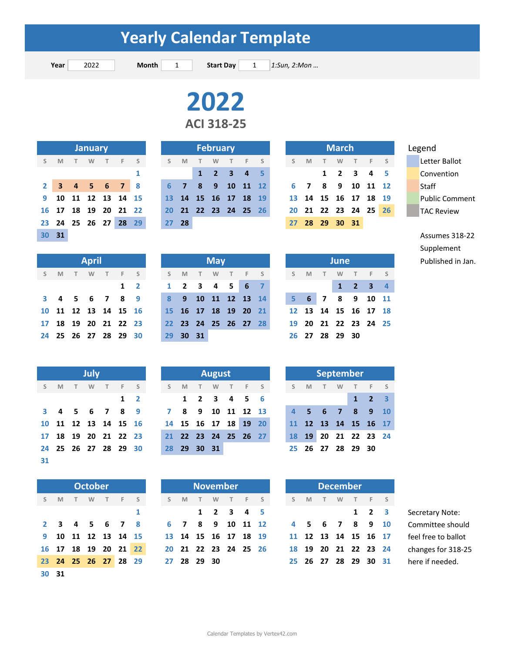**Year** 2022 **Month** 1 **Start Day** 1 **1:Sun, 2:Mon ... Start Day** 

> **ACI 318‐25 2022**

|    |                     |      | <b>January</b> |      |       |    |             |          |    | <b>February</b> |                         |          |                |    |           |    | <b>March</b>         |       |       |     |  | Legend                |
|----|---------------------|------|----------------|------|-------|----|-------------|----------|----|-----------------|-------------------------|----------|----------------|----|-----------|----|----------------------|-------|-------|-----|--|-----------------------|
| S. | M                   |      | W              | T.   | E.    |    | S.          | M        |    | W               |                         |          | F <sub>S</sub> | S. | - M       |    | W                    |       |       | F S |  | Letter Ballot         |
|    |                     |      |                |      |       |    |             |          |    | $1 \quad 2$     | $\overline{\mathbf{3}}$ | $-4$ 5   |                |    |           |    | $1 \quad 2 \quad 3$  |       | 45    |     |  | Convention            |
|    | 2 3 4 5 6 7 8       |      |                |      |       |    | 6.          | 477      | -8 | $-9$            |                         | 10 11 12 |                |    | 6 7       | 8  | - 9                  | 10    | 11 12 |     |  | Staff                 |
|    | 9 10 11 12 13 14 15 |      |                |      |       |    | $\sqrt{13}$ | 14 15 16 |    |                 | 17                      | 18 19    |                |    | 13 14     |    | 15 16 17             |       | 18 19 |     |  | <b>Public Comment</b> |
|    | 16 17               | - 18 | 19             | - 20 | 21 22 |    | <b>20</b>   |          |    |                 | 21 22 23 24 25 26       |          |                |    |           |    | 20 21 22 23 24 25 26 |       |       |     |  | <b>TAC Review</b>     |
|    | 23 24 25            |      | 26             | 27   | 28    | 29 |             | $27$ 28  |    |                 |                         |          |                | 27 | <b>28</b> | 29 |                      | 30 31 |       |     |  |                       |

Legend

**30 31** Assumes 318‐22 Supplement Published in Jan.

|    |   |      | <b>April</b> |           |                      |            |           |   |       | <b>May</b> |                      |  |   |   |                | <b>June</b> |                |
|----|---|------|--------------|-----------|----------------------|------------|-----------|---|-------|------------|----------------------|--|---|---|----------------|-------------|----------------|
| S. | M | $-1$ | <b>W</b>     | $-$ T $-$ | F S                  |            | S         | M | T     | W          | T F S                |  | S | M |                | W           | T              |
|    |   |      |              |           |                      | $1\quad 2$ |           |   |       |            | 1 2 3 4 5 6 7        |  |   |   |                |             | $\overline{2}$ |
|    |   |      |              |           | 3 4 5 6 7 8 9        |            | - 8       |   |       |            | 9 10 11 12 13 14     |  |   |   | 5 6 7 8 9      |             |                |
|    |   |      |              |           | 10 11 12 13 14 15 16 |            |           |   |       |            | 15 16 17 18 19 20 21 |  |   |   | 12 13 14 15 16 |             |                |
|    |   |      |              |           | 17 18 19 20 21 22 23 |            | 22        |   |       |            | 23 24 25 26 27 28    |  |   |   | 19 20 21 22 23 |             |                |
|    |   |      |              |           | 24 25 26 27 28 29 30 |            | <b>29</b> |   | 30 31 |            |                      |  |   |   | 26 27 28 29 30 |             |                |

|                 |   | July |                   |         |                |
|-----------------|---|------|-------------------|---------|----------------|
| S               | M | T W  |                   | $T = F$ | S              |
|                 |   |      |                   | 1       | $\overline{2}$ |
| 3               |   |      | 4 5 6 7 8         |         | 9              |
| 10              |   |      | 11 12 13 14 15 16 |         |                |
| 17 <sup>7</sup> |   |      | 18 19 20 21 22 23 |         |                |
| 24              |   |      | 25 26 27 28 29 30 |         |                |
| 31              |   |      |                   |         |                |

|                |              | <b>October</b> |                   |   |
|----------------|--------------|----------------|-------------------|---|
| S              | M            |                | T W T F S         |   |
|                |              |                |                   | 1 |
| $\overline{2}$ | $\mathbf{3}$ |                | 4 5 6 7 8         |   |
| 9.             |              |                | 10 11 12 13 14 15 |   |
| 16             |              |                | 17 18 19 20 21 22 |   |
| $23 -$         |              |                | 24 25 26 27 28 29 |   |
| 30             | 31           |                |                   |   |

|  | <b>April</b> |                            |               |                                  |          | <b>May</b> |  |                      |  |  |                | <b>June</b> |                             |
|--|--------------|----------------------------|---------------|----------------------------------|----------|------------|--|----------------------|--|--|----------------|-------------|-----------------------------|
|  |              |                            | S M T W T F S |                                  |          |            |  |                      |  |  |                |             | SMTWTFS SMTWTFS             |
|  |              |                            | $1\quad 2$    |                                  |          |            |  | 1 2 3 4 5 6 7        |  |  |                |             | $1 \quad 2 \quad 3 \quad 4$ |
|  |              |                            |               | 3 4 5 6 7 8 9 8 9 10 11 12 13 14 |          |            |  |                      |  |  |                |             | 5 6 7 8 9 10 11             |
|  |              | 10 11 12 13 14 15 16       |               |                                  |          |            |  | 15 16 17 18 19 20 21 |  |  |                |             | 12 13 14 15 16 17 18        |
|  |              | 17 18 19 20 21 22 23       |               |                                  |          |            |  | 22 23 24 25 26 27 28 |  |  |                |             | 19 20 21 22 23 24 25        |
|  |              | 24  25  26  27  28  29  30 |               |                                  | 29 30 31 |            |  |                      |  |  | 26 27 28 29 30 |             |                             |

|   |   |   | <b>July</b> |                      |     |             |                      |             |   | <b>August</b> |   |                      |  |
|---|---|---|-------------|----------------------|-----|-------------|----------------------|-------------|---|---------------|---|----------------------|--|
| S | M | T | <b>W</b>    | T                    | F S |             | S M                  |             | T | W             | T | F S                  |  |
|   |   |   |             |                      |     | $1 \quad 2$ |                      |             |   |               |   | 1 2 3 4 5 6          |  |
|   |   |   |             | 3 4 5 6 7 8 9        |     |             |                      |             |   |               |   | 7 8 9 10 11 12 13    |  |
|   |   |   |             | 10 11 12 13 14 15 16 |     |             | 14 15 16 17 18 19 20 |             |   |               |   |                      |  |
|   |   |   |             | 17 18 19 20 21 22 23 |     |             |                      |             |   |               |   | 21 22 23 24 25 26 27 |  |
|   |   |   |             | 24 25 26 27 28 29 30 |     |             |                      | 28 29 30 31 |   |               |   |                      |  |
|   |   |   |             |                      |     |             |                      |             |   |               |   |                      |  |

|    | <b>October</b>         |                |     |   |    |                      |        |   | <b>November</b>     |  |   |                | <b>December</b> |
|----|------------------------|----------------|-----|---|----|----------------------|--------|---|---------------------|--|---|----------------|-----------------|
| Τ. | <b>W</b>               | T              | F S |   | S. | M                    | $\top$ | W | T F S               |  | S | <b>M</b>       |                 |
|    |                        |                |     | 1 |    |                      |        |   | $1 \t2 \t3 \t4 \t5$ |  |   |                |                 |
|    | 45678                  |                |     |   |    | 6 7 8 9 10 11 12     |        |   |                     |  |   | 4 5 6 7 8      |                 |
|    | l <b>1 12 13 14 15</b> |                |     |   |    | 13 14 15 16 17 18 19 |        |   |                     |  |   | 11 12 13 14 15 |                 |
|    | l8 19 20 21 22         |                |     |   |    | 20 21 22 23 24 25 26 |        |   |                     |  |   | 18 19 20 21 22 |                 |
|    |                        | 25 26 27 28 29 |     |   |    | 27 28 29 30          |        |   |                     |  |   | 25 26 27 28 29 |                 |

|    |   |                | June         |             |                   |   |
|----|---|----------------|--------------|-------------|-------------------|---|
| S. | M |                | T W          |             | T F S             |   |
|    |   |                | $\mathbf{1}$ | $2 \quad 3$ |                   | 4 |
| 5. | 6 | $\overline{7}$ |              |             | 8 9 10 1          |   |
| 12 |   |                |              |             | 13 14 15 16 17 18 |   |
| 19 |   |                |              |             | 20 21 22 23 24 2  |   |
|    |   | 26 27 28 29    |              | 30          |                   |   |

|    |   |                      | July     |      |    |                         |              |          |                      | August |               |     |   |    |          |   | September                               |                    |  |
|----|---|----------------------|----------|------|----|-------------------------|--------------|----------|----------------------|--------|---------------|-----|---|----|----------|---|-----------------------------------------|--------------------|--|
| S. | M | T                    | <b>W</b> | $-1$ | F. | $\overline{\mathsf{S}}$ | S.           | <b>M</b> |                      | W      |               | - F | S | S. | <b>M</b> | W |                                         | F S                |  |
|    |   |                      |          |      |    | $1\quad 2$              |              |          | 1 2 3 4 5 6          |        |               |     |   |    |          |   | $\blacktriangle$ 1 $\blacktriangledown$ | $\blacktriangle$ 2 |  |
|    |   | 3 4 5 6 7 8          |          |      |    | - 9                     | $\mathbf{7}$ | 8        |                      |        | 9 10 11 12 13 |     |   |    |          |   | 4 5 6 7 8 9 10                          |                    |  |
|    |   | 10 11 12 13 14 15 16 |          |      |    |                         |              |          | 14 15 16 17 18 19 20 |        |               |     |   |    |          |   | 11 12 13 14 15 16 17                    |                    |  |
|    |   | 17 18 19 20 21 22 23 |          |      |    |                         |              |          | 21 22 23 24 25 26 27 |        |               |     |   |    | 18 19    |   | 20 21 22 23 24                          |                    |  |
|    |   | 24 25 26 27 28 29 30 |          |      |    |                         |              |          | 28 29 30 31          |        |               |     |   |    |          |   | 25 26 27 28 29 30                       |                    |  |

|     |   | <b>October</b> |                      |   |  |     | <b>November</b>      |              |       |  |    |   | <b>December</b> |   |                      |                     |
|-----|---|----------------|----------------------|---|--|-----|----------------------|--------------|-------|--|----|---|-----------------|---|----------------------|---------------------|
| S M | T | W              | T F S                |   |  | S M | $\sim$ T $\sim$      | <b>W</b>     | T F S |  | S. | M | T               | W | T F S                |                     |
|     |   |                |                      | 1 |  |     |                      | 1 2 3 4 5    |       |  |    |   |                 |   | $1 \quad 2 \quad 3$  | Secretary Note:     |
|     |   |                | 2 3 4 5 6 7 8        |   |  | 6 7 |                      | 8 9 10 11 12 |       |  |    |   | 4 5 6           |   | 7 8 9 10             | Committee should    |
|     |   |                | 9 10 11 12 13 14 15  |   |  |     | 13 14 15 16 17 18 19 |              |       |  |    |   |                 |   | 11 12 13 14 15 16 17 | feel free to ballot |
|     |   |                | 16 17 18 19 20 21 22 |   |  |     | 20 21 22 23 24 25 26 |              |       |  |    |   |                 |   | 18 19 20 21 22 23 24 | changes for 318-25  |
|     |   |                | 23 24 25 26 27 28 29 |   |  |     | 27 28 29 30          |              |       |  |    |   |                 |   | 25 26 27 28 29 30 31 | here if needed.     |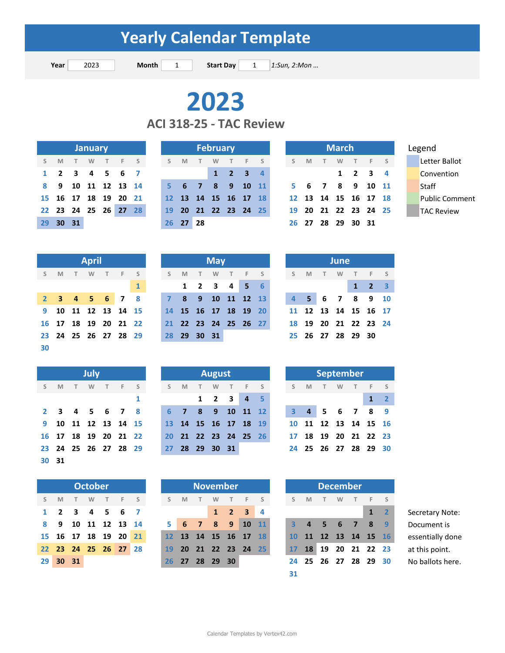**Year** 2023 **Month** 1 **Start Day** 1 *1:Sun, 2:Mon ...* **Start Day** 

**ACI 318‐25 ‐ TAC Review**

|    |       |                      | <b>January</b> |  |  |
|----|-------|----------------------|----------------|--|--|
|    | S M   | TWTFS                |                |  |  |
|    |       | 1 2 3 4 5 6 7        |                |  |  |
|    |       | 8 9 10 11 12 13 14   |                |  |  |
|    |       | 15 16 17 18 19 20 21 |                |  |  |
|    |       | 22 23 24 25 26 27 28 |                |  |  |
| 29 | 30 31 |                      |                |  |  |

|          |      | <b>January</b> |   |                      |                |  |          |                      | <b>February</b> |                             |     |  |    |                   |   | <b>March</b> |                             |  | Legend             |
|----------|------|----------------|---|----------------------|----------------|--|----------|----------------------|-----------------|-----------------------------|-----|--|----|-------------------|---|--------------|-----------------------------|--|--------------------|
| S M      | $-1$ | <b>W</b>       | T |                      | F <sub>S</sub> |  | S M      |                      | W               | T                           | F S |  | S. | M                 | T | W            | T F S                       |  | Letter Ballot      |
|          |      |                |   | 1 2 3 4 5 6 7        |                |  |          |                      |                 | $1 \quad 2 \quad 3 \quad 4$ |     |  |    |                   |   |              | $1 \quad 2 \quad 3 \quad 4$ |  | Convention         |
|          |      |                |   | 8 9 10 11 12 13 14   |                |  |          | 5 6 7 8 9 10 11      |                 |                             |     |  |    |                   |   |              | 5 6 7 8 9 10 11             |  | Staff              |
|          |      |                |   | 15 16 17 18 19 20 21 |                |  |          | 12 13 14 15 16 17 18 |                 |                             |     |  |    |                   |   |              | 12 13 14 15 16 17 18        |  | <b>Public Comn</b> |
|          |      |                |   | 22 23 24 25 26 27 28 |                |  |          | 19 20 21 22 23 24 25 |                 |                             |     |  |    |                   |   |              | 19 20 21 22 23 24 25        |  | <b>TAC Review</b>  |
| 29 30 31 |      |                |   |                      |                |  | 26 27 28 |                      |                 |                             |     |  |    | 26 27 28 29 30 31 |   |              |                             |  |                    |

|    |          | <b>March</b> |                      |              |
|----|----------|--------------|----------------------|--------------|
| S  | <b>M</b> |              | T W T F S            |              |
|    |          | 1            | 2 <sub>3</sub>       | $\mathbf{a}$ |
| 5. |          |              | 6 7 8 9 10 11        |              |
|    |          |              | 12 13 14 15 16 17 18 |              |
| 19 |          |              | 20 21 22 23 24 25    |              |
|    |          |              | 26 27 28 29 30 31    |              |

|                |   |   | <b>April</b> |                   |   |
|----------------|---|---|--------------|-------------------|---|
| S              | M | T | <b>W</b>     | T F S             |   |
|                |   |   |              |                   | 1 |
| 2 <sup>1</sup> |   |   |              | 3 4 5 6 7 8       |   |
| 9              |   |   |              | 10 11 12 13 14 15 |   |
| 16             |   |   |              | 17 18 19 20 21 22 |   |
| 23             |   |   |              | 24 25 26 27 28 29 |   |
| 30             |   |   |              |                   |   |

|              |     |   | July |                   |     |
|--------------|-----|---|------|-------------------|-----|
| S            | M   | T |      | W T F             | S   |
|              |     |   |      |                   | 1   |
| $\mathbf{2}$ | - 3 |   |      | 4 5 6 7           | - 8 |
| 9            |     |   |      | 10 11 12 13 14 15 |     |
| 16           |     |   |      | 17 18 19 20 21 22 |     |
| 23           | 24  |   |      | 25 26 27 28 29    |     |
| 30           | 31  |   |      |                   |     |

|      |                     |                   | <b>October</b> |  |  |
|------|---------------------|-------------------|----------------|--|--|
|      | S M T W T F S       |                   |                |  |  |
| 1    |                     | 2 3 4 5 6 7       |                |  |  |
| 8    |                     | 9 10 11 12 13 1   |                |  |  |
|      | 15 16 17 18 19 20 2 |                   |                |  |  |
| 22 - |                     | 23 24 25 26 27 28 |                |  |  |
|      | 29 30               | - 31              |                |  |  |

|  | <b>April</b> |                      |  |                                 |  | <b>May</b> |                                           |  |
|--|--------------|----------------------|--|---------------------------------|--|------------|-------------------------------------------|--|
|  |              | S M T W T F S        |  | SMTWTFS SMTWTFS                 |  |            |                                           |  |
|  |              |                      |  | 1 2 3 4 5 6                     |  |            |                                           |  |
|  |              |                      |  | 2 3 4 5 6 7 8 7 8 9 10 11 12 13 |  |            |                                           |  |
|  |              | 9 10 11 12 13 14 15  |  | 14 15 16 17 18 19 20            |  |            |                                           |  |
|  |              | 16 17 18 19 20 21 22 |  |                                 |  |            | 21 22 23 24 25 26 27 18 19 20 21 22 23 24 |  |
|  |              | 23 24 25 26 27 28 29 |  | 28 29 30 31                     |  |            |                                           |  |

|   |   |   | July     |        |                      |  |    |                      |      | August |                                     |       |                      |  |   | September            |      |
|---|---|---|----------|--------|----------------------|--|----|----------------------|------|--------|-------------------------------------|-------|----------------------|--|---|----------------------|------|
| S | M | T | <b>W</b> | $\top$ | F <sub>S</sub>       |  |    | S M                  | $-1$ | W      | T                                   | $F$ S |                      |  | M | W                    | $-F$ |
|   |   |   |          |        |                      |  |    |                      |      |        | $1 \quad 2 \quad 3 \quad 4 \quad 5$ |       |                      |  |   |                      |      |
|   |   |   |          |        | 2 3 4 5 6 7 8        |  |    | $6 \quad 7$          |      |        | 8 9 10 11 12                        |       |                      |  |   | 3 4 5 6 7 8 9        |      |
|   |   |   |          |        | 9 10 11 12 13 14 15  |  |    | 13 14 15 16 17 18 19 |      |        |                                     |       |                      |  |   | 10 11 12 13 14 15 16 |      |
|   |   |   |          |        | 16 17 18 19 20 21 22 |  |    |                      |      |        |                                     |       | 20 21 22 23 24 25 26 |  |   | 17 18 19 20 21 22 23 |      |
|   |   |   |          |        | 23 24 25 26 27 28 29 |  | 27 |                      |      |        | 28 29 30 31                         |       |                      |  |   | 24 25 26 27 28 29 30 |      |

|                | <b>October</b> |                |     |  |   |          |                |   | <b>November</b> |                             |  |   |          |  | <b>December</b> |
|----------------|----------------|----------------|-----|--|---|----------|----------------|---|-----------------|-----------------------------|--|---|----------|--|-----------------|
| T.             | <b>W</b>       | $\top$         | F S |  | S | <b>M</b> | $\top$         | W |                 | T F S                       |  | S | <b>M</b> |  | W               |
|                |                | 3 4 5 6 7      |     |  |   |          |                |   |                 | $1 \quad 2 \quad 3 \quad 4$ |  |   |          |  |                 |
|                |                | 10 11 12 13 14 |     |  |   |          |                |   |                 | 5 6 7 8 9 10 11             |  |   |          |  | 4 5 6 7         |
|                |                | 17 18 19 20 21 |     |  |   |          |                |   |                 | 12 13 14 15 16 17 18        |  |   |          |  | 10 11 12 13 14  |
|                |                | 24 25 26 27 28 |     |  |   |          |                |   |                 | 19 20 21 22 23 24 25        |  |   | 17 18    |  | 19 20 21        |
| 1 <sup>1</sup> |                |                |     |  |   |          | 26 27 28 29 30 |   |                 |                             |  |   |          |  | 24 25 26 27 28  |
|                |                |                |     |  |   |          |                |   |                 |                             |  |   |          |  |                 |

|    |                | June        |   |                        |                         |
|----|----------------|-------------|---|------------------------|-------------------------|
| S  | M              | T W         |   | T F S                  |                         |
|    |                |             | 1 | $\overline{2}$         | $\overline{\mathbf{3}}$ |
| 4  | 5 <sup>1</sup> |             |   | 6 7 8 9                | 10                      |
| 11 |                |             |   | 12  13  14  15  16  17 |                         |
| 18 |                |             |   | 19 20 21 22 23 24      |                         |
| 25 |                | 26 27 28 29 |   | 30                     |                         |

|         |                |     | <b>September</b> |     |                   |                         |
|---------|----------------|-----|------------------|-----|-------------------|-------------------------|
| S       | M              | T W |                  | T F |                   | $\sim$ S                |
|         |                |     |                  |     | 1                 | $\overline{\mathbf{2}}$ |
| 3       | $\overline{4}$ |     | 5 6 7            |     | 8                 | q                       |
| $10-10$ |                |     |                  |     | 11 12 13 14 15 16 |                         |
| 17      |                |     |                  |     | 18 19 20 21 22 23 |                         |
| 24      |                |     |                  |     | 25 26 27 28 29 30 |                         |
|         |                |     |                  |     |                   |                         |

|      |              |       | <b>October</b> |                      |            |   |                 |           | <b>November</b> |              |            |                         |                 |           |                |        | <b>December</b> |     |             |             |                  |
|------|--------------|-------|----------------|----------------------|------------|---|-----------------|-----------|-----------------|--------------|------------|-------------------------|-----------------|-----------|----------------|--------|-----------------|-----|-------------|-------------|------------------|
| S    | M            | Т.    | W              | T                    | F.         | S | S.              | M         | $\top$          | W            | T          | F.                      |                 | S.        | M              | $\top$ | W.              |     | F.          | - S         |                  |
| 1    | $\mathbf{z}$ | 3     | 4              |                      | $5\quad 6$ |   |                 |           |                 | $\mathbf{1}$ | $\sqrt{2}$ | $\overline{\mathbf{3}}$ | -4              |           |                |        |                 |     |             | $1 \quad 2$ | Secretary Note:  |
| 8    | 9            | 10    |                | 11 12 13 14          |            |   | 5               | 6         | $\overline{7}$  | 8            | 9          | 10                      | $\overline{11}$ |           | $\overline{a}$ | 5      | -6              | 477 | 8           | - 9         | Document is      |
|      |              |       |                | 15 16 17 18 19 20 21 |            |   | 12 <sup>1</sup> | <b>13</b> | <b>14</b>       | 15 16        |            | $\sqrt{17}$             | 18              | <b>10</b> |                | 11 12  | 13              |     | 14 15 16    |             | essentially done |
|      |              |       |                | 22 23 24 25 26 27 28 |            |   | <b>19</b>       | <b>20</b> | 21 22 23 24     |              |            |                         | 25              | 17        | <b>18</b>      | 19     |                 |     | 20 21 22 23 |             | at this point.   |
| ا 29 |              | 30 31 |                |                      |            |   | 26              | 27        | <b>28</b>       | 29           | 30         |                         |                 | 24        | - 25           | 26     | 27              |     | 28 29 30    |             | No ballots here. |
|      |              |       |                |                      |            |   |                 |           |                 |              |            |                         |                 | 31        |                |        |                 |     |             |             |                  |